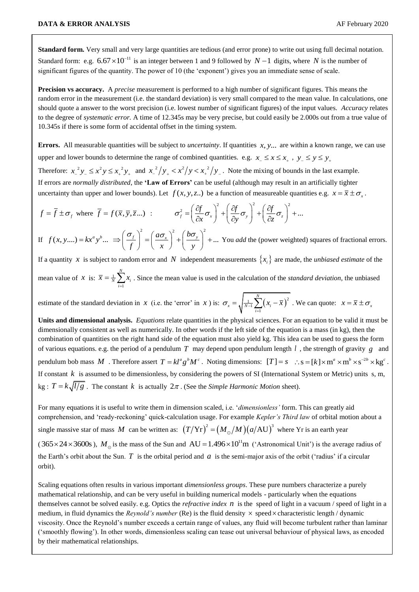1

**Standard form.** Very small and very large quantities are tedious (and error prone) to write out using full decimal notation. Standard form: e.g.  $6.67 \times 10^{-11}$  is an integer between 1 and 9 followed by  $N-1$  digits, where N is the number of significant figures of the quantity. The power of 10 (the 'exponent') gives you an immediate sense of scale.

**Precision vs accuracy.** A *precise* measurement is performed to a high number of significant figures. This means the random error in the measurement (i.e. the standard deviation) is very small compared to the mean value. In calculations, one should quote a answer to the worst precision (i.e. lowest number of significant figures) of the input values. *Accuracy* relates to the degree of *systematic error.* A time of 12.345s may be very precise, but could easily be 2.000s out from a true value of 10.345s if there is some form of accidental offset in the timing system.

Errors. All measurable quantities will be subject to *uncertainty*. If quantities x, y... are within a known range, we can use upper and lower bounds to determine the range of combined quantities. e.g.  $x_{-} \le x \le x_{+}$ ,  $y_{-} \le y \le y_{+}$ 

Therefore:  $x_{-}^{2}y_{-} \le x_{+}^{2}y \le x_{+}^{2}y_{+}$  and  $x_{-}^{2}/y_{+} < x_{+}^{2}/y < x_{+}^{2}/y_{-}$ . Note the mixing of bounds in the last example. If errors are *normally distributed*, the **'Law of Errors'** can be useful (although may result in an artificially tighter

uncertainty than upper and lower bounds). Let 
$$
f(x, y, z, ...)
$$
 be a function of measurable quantities e.g.  $x = \overline{x} \pm \sigma_x$ .  
\n
$$
f = \overline{f} \pm \sigma_y
$$
 where  $\overline{f} = f(\overline{x}, \overline{y}, \overline{z}...)$  : 
$$
\sigma_f^2 = \left(\frac{\partial f}{\partial x} \sigma_x\right)^2 + \left(\frac{\partial f}{\partial y} \sigma_y\right)^2 + \left(\frac{\partial f}{\partial z} \sigma_z\right)^2 + ...
$$
\nIf  $f(x, y,...) = kx^a y^b ... \Rightarrow \left(\frac{\sigma_f}{\sigma_x}\right)^2 = \left(\frac{a\sigma_x}{\sigma_x}\right)^2 + \left(\frac{b\sigma_y}{\sigma_y}\right)^2 + ...$  You add the (power weighted) squares of fractional

If  $(x, y,...) = kx^a y^b ... \implies \left(\frac{\sigma_f}{f}\right)^2 = \left(\frac{a\sigma_x}{x}\right)^2 + \left(\frac{b\sigma_y}{y}\right)^2 + ...$  $a\sigma_{r}^2$ <sup>2</sup> (*b*)  $f(x, y,...) = kx^a y$  $\left(\frac{\sigma_f}{f}\right)^2 = \left(\frac{a\sigma_x}{x}\right)^2 + \left(\frac{b\sigma_y}{y}\right)^2$ =  $kx^a y^b ... \Rightarrow \left(\frac{\sigma_f}{f}\right)^2 = \left(\frac{a\sigma_x}{x}\right)^2 + \left(\frac{b\sigma_y}{y}\right)^2 + ...$  You You *add* the (power weighted) squares of fractional errors.

If a quantity x is subject to random error and N independent measurements  $\{x_i\}$  are made, the *unbiased estimate* of the mean value of *x* is:  $\bar{x} = \frac{1}{N}$ *N N*  $\sum_{i=1}^{N}$  $\overline{x} = \frac{1}{N} \sum_{x} x$  $= \frac{1}{N} \sum_{i=1}^{N} x_i$ . Since the mean value is used in the calculation of the *standard deviation*, the unbiased

estimate of the standard deviation in *x* (i.e. the 'error' in *x*) is:  $\sigma_x = \sqrt{\frac{1}{N-1} \sum_{i=1}^{N-1} (x_i - \overline{x})^2}$ *N*  $\sigma_x = \sqrt{\frac{1}{N-1} \sum_{i=1}^{N} (x_i - \overline{x})^2}$ . We can quote:  $x = \overline{x} \pm \sigma_x$ 

**Units and dimensional analysis.** *Equations* relate quantities in the physical sciences. For an equation to be valid it must be dimensionally consistent as well as numerically. In other words if the left side of the equation is a mass (in kg), then the combination of quantities on the right hand side of the equation must also yield kg. This idea can be used to guess the form of various equations. e.g. the period of a pendulum *T* may depend upon pendulum length *l* , the strength of gravity *g* and pendulum bob mass M. Therefore assert  $T = kl^a g^b M^c$ . Noting dimensions:  $[T] = s$   $\therefore s = [k] \times m^a \times m^b \times s^{-2b} \times kg^c$ . If constant  $k$  is assumed to be dimensionless, by considering the powers of SI (International System or Metric) units  $s, m$ ,  $\log$ :  $T = k \sqrt{l/g}$ . The constant k is actually  $2\pi$ . (See the *Simple Harmonic Motion* sheet).

For many equations it is useful to write them in dimension scaled, i.e. '*dimensionless'* form. This can greatly aid comprehension, and 'ready-reckoning' quick-calculation usage. For example *Kepler's Third law* of orbital motion about a single massive star of mass M can be written as:  $(T/Yr)^2 = (M_{\odot}/M)(a/AU)^3$  where Yr is an earth year  $(365 \times 24 \times 3600s)$ ,  $M_{\odot}$  is the mass of the Sun and AU = 1.496  $\times 10^{11}$ m ('Astronomical Unit') is the average radius of the Earth's orbit about the Sun.  $T$  is the orbital period and  $a$  is the semi-major axis of the orbit ('radius' if a circular orbit).

Scaling equations often results in various important *dimensionless groups*. These pure numbers characterize a purely mathematical relationship, and can be very useful in building numerical models - particularly when the equations themselves cannot be solved easily. e.g. Optics the *refractive index n* is the speed of light in a vacuum / speed of light in a medium, in fluid dynamics the *Reynold's number* (Re) is the fluid density  $\times$  speed  $\times$  characteristic length / dynamic viscosity. Once the Reynold's number exceeds a certain range of values, any fluid will become turbulent rather than laminar ('smoothly flowing'). In other words, dimensionless scaling can tease out universal behaviour of physical laws, as encoded by their mathematical relationships.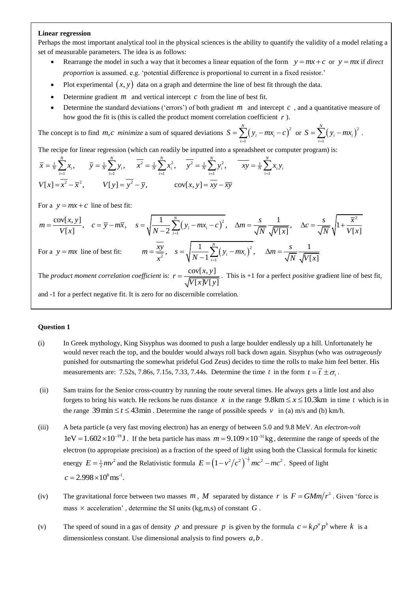## **Linear regression**

Perhaps the most important analytical tool in the physical sciences is the ability to quantify the validity of a model relating a set of measurable parameters. The idea is as follows:

- Rearrange the model in such a way that it becomes a linear equation of the form  $y = mx + c$  or  $y = mx$  if *direct proportion* is assumed. e.g. 'potential difference is proportional to current in a fixed resistor.'
- Plot experimental  $(x, y)$  data on a graph and determine the line of best fit through the data.
- $\bullet$  Determine gradient  $m$  and vertical intercept  $c$  from the line of best fit.
- Determine the standard deviations ('errors') of both gradient  $m$  and intercept  $c$ , and a quantitative measure of how good the fit is (this is called the product moment correlation coefficient *r* ).

The concept is to find *m*, *c* minimize a sum of squared deviations  $S = \sum (y_i - mx_i - c)^2$ 1 *N*  $\sum_{i=1}^{j} (y_i - mx_i)$  $S = \sum_{i=1}^{n} (y_i - mx_i - c_i)$  $= \sum_{i=1}^{N} (y_i - mx_i - c)^2$  or  $S = \sum_{i=1}^{N} (y_i - mx_i)^2$ 1 *N*  $\sum_{i=1}$   $(y_i - m\lambda_i)$  $S = \sum (y_i - mx)$  $=\sum_{i=1} (y_i - mx_i)^2$ . e concept is to find *m*, *c* minimize a sum of squared deviations  $S = \sum_{i=1}^{N} (y_i - mx_i - c)^2$  or  $S = \sum_{i=1}^{N} (y_i - mx_i - c)^2$  or  $S = \sum_{i=1}^{N} (y_i - mx_i - c)^2$  or  $S = \sum_{i=1}^{N} (y_i - mx_i - c)^2$  or  $S = \sum_{i=1}^{N} (y_i - mx_i - c)^2$  or  $S = \sum_{i=1}^{N} ($ 

Figure for linear regression (which can readily be inputted into a spreadsheet of  $\sum_{n=1}^{N}$   $\sum_{n=1}^{N}$   $\sum_{n=1}^{N}$   $\sum_{n=1}^{N}$   $\sum_{n=1}^{N}$   $\sum_{n=1}^{N}$   $\sum_{n=1}^{N}$ 

The recipe for linear regression (which can readily be inputted into a spreadsheet or computer program) is:  
\n
$$
\overline{x} = \frac{1}{N} \sum_{i=1}^{N} x_i, \qquad \overline{y} = \frac{1}{N} \sum_{i=1}^{N} y_i, \qquad \overline{x^2} = \frac{1}{N} \sum_{i=1}^{N} x_i^2, \qquad \overline{y^2} = \frac{1}{N} \sum_{i=1}^{N} y_i^2, \qquad \overline{xy} = \frac{1}{N} \sum_{i=1}^{N} x_i y_i
$$
\n
$$
V[x] = \overline{x^2} - \overline{x}^2, \qquad V[y] = \overline{y^2} - \overline{y}, \qquad \text{cov}[x, y] = \overline{xy} - \overline{xy}
$$

For a  $y = mx + c$  line of best fit:

$$
V[x] = x^{2} - \overline{x}^{2}, \qquad V[y] = y^{2} - \overline{y}, \qquad \text{cov}[x, y] = xy - \overline{xy}
$$
  
\nFor a  $y = mx + c$  line of best fit:  
\n
$$
m = \frac{\text{cov}[x, y]}{V[x]}, \quad c = \overline{y} - m\overline{x}, \quad s = \sqrt{\frac{1}{N - 2} \sum_{i=1}^{N} (y_{i} - mx_{i} - c)^{2}}, \quad \Delta m = \frac{s}{\sqrt{N}} \frac{1}{\sqrt{V[x]}}, \quad \Delta c = \frac{s}{\sqrt{N}} \sqrt{1 + \frac{\overline{x}^{2}}{V[x]}}
$$
  
\nFor a  $y = mx$  line of best fit:  
\n
$$
m = \frac{\overline{xy}}{N}, \quad s = \sqrt{\frac{1}{N} \sum_{i=1}^{N} (y_{i} - mx_{i})^{2}}, \quad \Delta m = \frac{s}{\sqrt{N}} \frac{1}{\sqrt{N}}.
$$

$$
\sqrt{N} = 2 \overline{t-1}
$$
\n
$$
\sqrt{N} \sqrt{V[x]}
$$
\nFor a  $y = mx$  line of best fit:  $m = \frac{\overline{xy}}{x^2}$ ,  $s = \sqrt{\frac{1}{N-1} \sum_{i=1}^{N} (y_i - mx_i)^2}$ ,  $\Delta m = \frac{s}{\sqrt{N}} \frac{1}{\sqrt{V[x]}}$ 

The *product moment correlation coefficient* is:  $r = \frac{cov(x, y)}{sqrt{max(x, y)}}$  $[x]V[y]$  $r = \frac{\text{cov}[x, y]}{\sqrt{a^2 + x^2}}$ *V x V y*  $=\frac{\text{cov}(x, y)}{\sqrt{1-\frac{1}{x^2}}}\$ . This is +1 for a perfect *positive* gradient line of best fit,

and -1 for a perfect negative fit. It is zero for no discernible correlation.

## **Question 1**

- (i) In Greek mythology, King Sisyphus was doomed to push a large boulder endlessly up a hill. Unfortunately he would never reach the top, and the boulder would always roll back down again. Sisyphus (who was *outrageously* punished for outsmarting the somewhat prideful God Zeus) decides to time the rolls to make him feel better. His measurements are: 7.52s, 7.86s, 7.15s, 7.33, 7.44s. Determine the time t in the form  $t = \overline{t} \pm \sigma_t$ .
- (ii) Sam trains for the Senior cross-country by running the route several times. He always gets a little lost and also forgets to bring his watch. He reckons he runs distance x in the range  $9.8 \text{km} \le x \le 10.3 \text{km}$  in time t which is in the range 39 min  $\le t \le 43$  min. Determine the range of possible speeds v in (a) m/s and (b) km/h.
- (iii) A beta particle (a very fast moving electron) has an energy of between 5.0 and 9.8 MeV. An *electron-volt*  $1 \text{eV} = 1.602 \times 10^{-19} \text{J}$ . If the beta particle has mass  $m = 9.109 \times 10^{-31} \text{kg}$ , determine the range of speeds of the electron (to appropriate precision) as a fraction of the speed of light using both the Classical formula for kinetic energy  $E = \frac{1}{2}mv^2$  and the Relativistic formula  $E = (1 - v^2/c^2)^{-\frac{1}{2}}mc^2 - mc^2$ . Speed of light  $c = 2.998 \times 10^8 \,\text{ms}^{-1}$ .
- (iv) The gravitational force between two masses m, M separated by distance r is  $F = GMm/r^2$ . Given 'force is mass  $\times$  acceleration', determine the SI units (kg,m,s) of constant  $G$ .
- (v) The speed of sound in a gas of density  $\rho$  and pressure p is given by the formula  $c = k \rho^a p^b$  where k is a dimensionless constant. Use dimensional analysis to find powers  $a, b$ .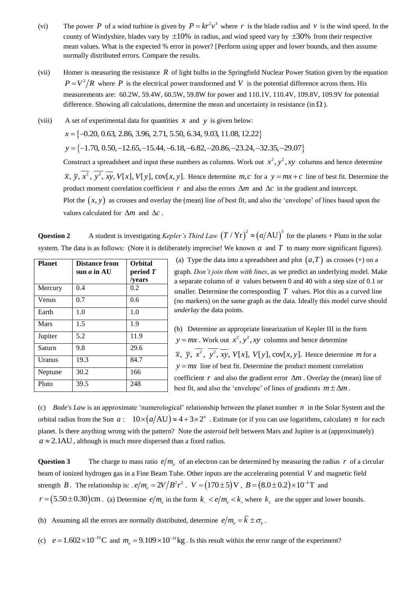- (vi) The power P of a wind turbine is given by  $P = kr^2v^3$  where r is the blade radius and v is the wind speed. In the county of Windyshire, blades vary by  $\pm 10\%$  in radius, and wind speed vary by  $\pm 30\%$  from their respective mean values. What is the expected % error in power? [Perform using upper and lower bounds, and then assume normally distributed errors. Compare the results.
- (vii) Homer is measuring the resistance *R* of light bulbs in the Springfield Nuclear Power Station given by the equation  $P = V^2/R$  where P is the electrical power transformed and V is the potential difference across them. His measurements are: 60.2W, 59.4W, 60.5W, 59.8W for power and 110.1V, 110.4V, 109.8V, 109.9V for potential difference. Showing all calculations, determine the mean and uncertainty in resistance (in  $\Omega$ ).

(viii) A set of experimental data for quantities  $x$  and  $y$  is given below:

A set of experimental data for quantities  $x$  and  $y$  is given below:<br> $x = \{-0.20, 0.63, 2.86, 3.96, 2.71, 5.50, 6.34, 9.03, 11.08, 12.22\}$ 

A set of experimental data for quantities *x* and *y* is given below:  
\n
$$
x = \{-0.20, 0.63, 2.86, 3.96, 2.71, 5.50, 6.34, 9.03, 11.08, 12.22\}
$$
  
\n $y = \{-1.70, 0.50, -12.65, -15.44, -6.18, -6.82, -20.86, -23.24, -32.35, -29.07\}$ 

Construct a spreadsheet and input these numbers as columns. Work out  $x^2$ ,  $y^2$ , xy columns and hence determine  $\overline{x}$ ,  $\overline{y}$ ,  $\overline{x^2}$ ,  $\overline{y^2}$ ,  $\overline{xy}$ ,  $V[x]$ ,  $V[y]$ ,  $cov[x, y]$ . Hence determine *m*,*c* for a  $y = mx + c$  line of best fit. Determine the product moment correlation coefficient r and also the errors  $\Delta m$  and  $\Delta c$  in the gradient and intercept. Plot the  $(x, y)$  as crosses and overlay the (mean) line of best fit, and also the 'envelope' of lines based upon the values calculated for  $\Delta m$  and  $\Delta c$ .

**Question 2** A student is investigating *Kepler's Third Law*  $(T/Yr)^2 \approx (a/AU)^3$  for the planets + Pluto in the solar system. The data is as follows: (Note it is deliberately imprecise! We known  $a$  and  $T$  to many more significant figures).

| <b>Planet</b> | <b>Distance from</b><br>sun <i>a</i> in AU | <b>Orbital</b><br>period T |
|---------------|--------------------------------------------|----------------------------|
|               |                                            | /vears                     |
| Mercury       | 0.4                                        | 0.2                        |
| Venus         | 0.7                                        | 0.6                        |
| Earth         | 1.0                                        | 1.0                        |
| <b>Mars</b>   | 1.5                                        | 1.9                        |
| Jupiter       | 5.2                                        | 11.9                       |
| Saturn        | 9.8                                        | 29.6                       |
| Uranus        | 19.3                                       | 84.7                       |
| Neptune       | 30.2                                       | 166                        |
| Pluto         | 39.5                                       | 248                        |

(a) Type the data into a spreadsheet and plot  $(a, T)$  as crosses  $(+)$  on a graph. *Don't join them with lines*, as we predict an underlying model. Make a separate column of  $a$  values between 0 and 40 with a step size of 0.1 or smaller. Determine the corresponding  $T$  values. Plot this as a curved line (no markers) on the same graph as the data. Ideally this model curve should *underlay* the data points.

(b) Determine an appropriate linearization of Kepler III in the form  $y = mx$ . Work out  $x^2$ ,  $y^2$ , xy columns and hence determine  $\overline{x}$ ,  $\overline{y}$ ,  $\overline{x^2}$ ,  $\overline{y^2}$ ,  $\overline{xy}$ ,  $V[x]$ ,  $V[y]$ ,  $cov[x, y]$ . Hence determine *m* for a  $y = mx$  line of best fit. Determine the product moment correlation coefficient  $r$  and also the gradient error  $\Delta m$ . Overlay the (mean) line of best fit, and also the 'envelope' of lines of gradients  $m \pm \Delta m$ .

(c) *Bode's Law* is an approximate 'numerological' relationship between the planet number *n* in the Solar System and the orbital radius from the Sun  $a: 10 \times (a/AU) \approx 4 + 3 \times 2^n$ . Estimate (or if you can use logarithms, calculate) *n* for each planet. Is there anything wrong with the pattern? Note the *asteroid belt* between Mars and Jupiter is at (approximately)  $a \approx 2.1 \text{AU}$ , although is much more dispersed than a fixed radius.

**Question 3** The charge to mass ratio  $e/m_e$  of an electron can be determined by measuring the radius r of a circular beam of ionized hydrogen gas in a Fine Beam Tube. Other inputs are the accelerating potential *V* and magnetic field strength *B*. The relationship is:  $e/m_e = 2V/B^2r^2$ .  $V = (170 \pm 5)V$ ,  $B = (8.0 \pm 0.2) \times 10^{-4}T$  and  $r = (5.50 \pm 0.30)$ cm. (a) Determine  $e/m_e$  in the form  $k_e$  <  $e/m_e$  <  $k_e$  where  $k_{\pm}$  are the upper and lower bounds.

(b) Assuming all the errors are normally distributed, determine  $e/m_e = \overline{k} \pm \sigma_k$ .

(c)  $e = 1.602 \times 10^{-19} \text{C}$  and  $m_e = 9.109 \times 10^{-31} \text{kg}$ . Is this result within the error range of the experiment?